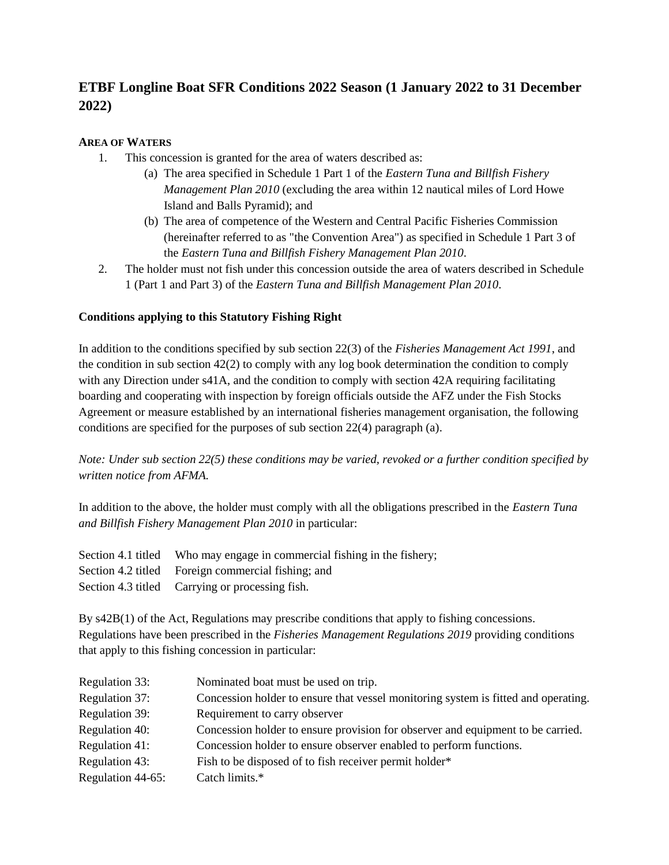# **ETBF Longline Boat SFR Conditions 2022 Season (1 January 2022 to 31 December 2022)**

# **AREA OF WATERS**

- 1. This concession is granted for the area of waters described as:
	- (a) The area specified in Schedule 1 Part 1 of the *Eastern Tuna and Billfish Fishery Management Plan 2010* (excluding the area within 12 nautical miles of Lord Howe Island and Balls Pyramid); and
	- (b) The area of competence of the Western and Central Pacific Fisheries Commission (hereinafter referred to as "the Convention Area") as specified in Schedule 1 Part 3 of the *Eastern Tuna and Billfish Fishery Management Plan 2010*.
- 2. The holder must not fish under this concession outside the area of waters described in Schedule 1 (Part 1 and Part 3) of the *Eastern Tuna and Billfish Management Plan 2010*.

# **Conditions applying to this Statutory Fishing Right**

In addition to the conditions specified by sub section 22(3) of the *Fisheries Management Act 1991*, and the condition in sub section  $42(2)$  to comply with any log book determination the condition to comply with any Direction under s41A, and the condition to comply with section 42A requiring facilitating boarding and cooperating with inspection by foreign officials outside the AFZ under the Fish Stocks Agreement or measure established by an international fisheries management organisation, the following conditions are specified for the purposes of sub section 22(4) paragraph (a).

*Note: Under sub section 22(5) these conditions may be varied, revoked or a further condition specified by written notice from AFMA.*

In addition to the above, the holder must comply with all the obligations prescribed in the *Eastern Tuna and Billfish Fishery Management Plan 2010* in particular:

| Section 4.1 titled Who may engage in commercial fishing in the fishery; |
|-------------------------------------------------------------------------|
| Section 4.2 titled Foreign commercial fishing; and                      |
| Section 4.3 titled Carrying or processing fish.                         |

By s42B(1) of the Act, Regulations may prescribe conditions that apply to fishing concessions. Regulations have been prescribed in the *Fisheries Management Regulations 2019* providing conditions that apply to this fishing concession in particular:

| Regulation 33:    | Nominated boat must be used on trip.                                               |
|-------------------|------------------------------------------------------------------------------------|
| Regulation 37:    | Concession holder to ensure that vessel monitoring system is fitted and operating. |
| Regulation 39:    | Requirement to carry observer                                                      |
| Regulation 40:    | Concession holder to ensure provision for observer and equipment to be carried.    |
| Regulation 41:    | Concession holder to ensure observer enabled to perform functions.                 |
| Regulation 43:    | Fish to be disposed of to fish receiver permit holder*                             |
| Regulation 44-65: | Catch limits.*                                                                     |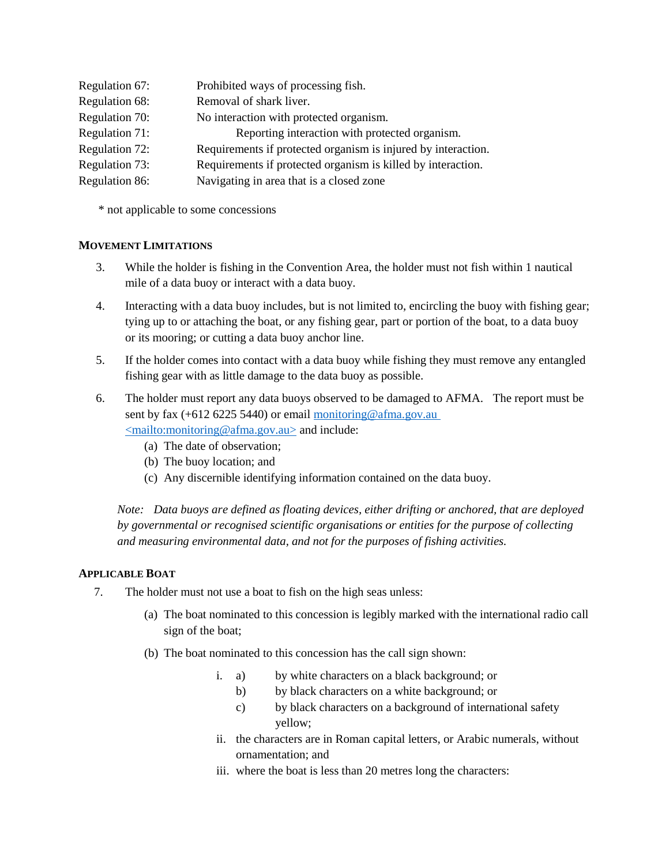| Regulation 67: | Prohibited ways of processing fish.                           |
|----------------|---------------------------------------------------------------|
| Regulation 68: | Removal of shark liver.                                       |
| Regulation 70: | No interaction with protected organism.                       |
| Regulation 71: | Reporting interaction with protected organism.                |
| Regulation 72: | Requirements if protected organism is injured by interaction. |
| Regulation 73: | Requirements if protected organism is killed by interaction.  |
| Regulation 86: | Navigating in area that is a closed zone                      |
|                |                                                               |

\* not applicable to some concessions

#### **MOVEMENT LIMITATIONS**

- 3. While the holder is fishing in the Convention Area, the holder must not fish within 1 nautical mile of a data buoy or interact with a data buoy.
- 4. Interacting with a data buoy includes, but is not limited to, encircling the buoy with fishing gear; tying up to or attaching the boat, or any fishing gear, part or portion of the boat, to a data buoy or its mooring; or cutting a data buoy anchor line.
- 5. If the holder comes into contact with a data buoy while fishing they must remove any entangled fishing gear with as little damage to the data buoy as possible.
- 6. The holder must report any data buoys observed to be damaged to AFMA. The report must be sent by fax  $(+612 6225 5440)$  or email monitoring@afma.gov.au <mailto:monitoring@afma.gov.au> and include:
	- (a) The date of observation;
	- (b) The buoy location; and
	- (c) Any discernible identifying information contained on the data buoy.

*Note: Data buoys are defined as floating devices, either drifting or anchored, that are deployed by governmental or recognised scientific organisations or entities for the purpose of collecting and measuring environmental data, and not for the purposes of fishing activities.* 

#### **APPLICABLE BOAT**

- 7. The holder must not use a boat to fish on the high seas unless:
	- (a) The boat nominated to this concession is legibly marked with the international radio call sign of the boat;
	- (b) The boat nominated to this concession has the call sign shown:
		- i. a) by white characters on a black background; or
			- b) by black characters on a white background; or
			- c) by black characters on a background of international safety yellow;
		- ii. the characters are in Roman capital letters, or Arabic numerals, without ornamentation; and
		- iii. where the boat is less than 20 metres long the characters: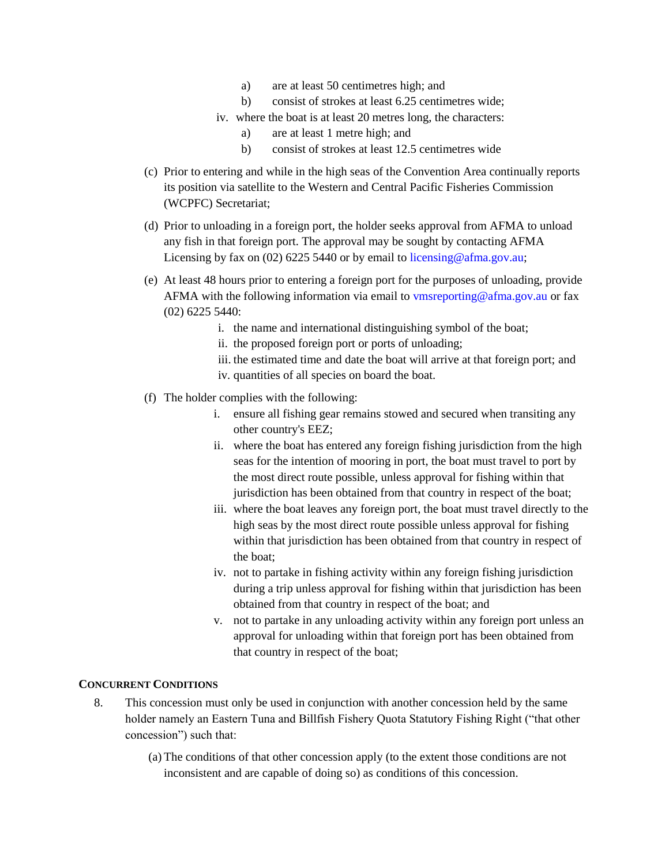- a) are at least 50 centimetres high; and
- b) consist of strokes at least 6.25 centimetres wide;
- iv. where the boat is at least 20 metres long, the characters:
	- a) are at least 1 metre high; and
	- b) consist of strokes at least 12.5 centimetres wide
- (c) Prior to entering and while in the high seas of the Convention Area continually reports its position via satellite to the Western and Central Pacific Fisheries Commission (WCPFC) Secretariat;
- (d) Prior to unloading in a foreign port, the holder seeks approval from AFMA to unload any fish in that foreign port. The approval may be sought by contacting AFMA Licensing by fax on (02) 6225 5440 or by email to licensing@afma.gov.au;
- (e) At least 48 hours prior to entering a foreign port for the purposes of unloading, provide AFMA with the following information via email to vmsreporting@afma.gov.au or fax (02) 6225 5440:
	- i. the name and international distinguishing symbol of the boat;
	- ii. the proposed foreign port or ports of unloading;
	- iii. the estimated time and date the boat will arrive at that foreign port; and
	- iv. quantities of all species on board the boat.
- (f) The holder complies with the following:
	- i. ensure all fishing gear remains stowed and secured when transiting any other country's EEZ;
	- ii. where the boat has entered any foreign fishing jurisdiction from the high seas for the intention of mooring in port, the boat must travel to port by the most direct route possible, unless approval for fishing within that jurisdiction has been obtained from that country in respect of the boat;
	- iii. where the boat leaves any foreign port, the boat must travel directly to the high seas by the most direct route possible unless approval for fishing within that jurisdiction has been obtained from that country in respect of the boat;
	- iv. not to partake in fishing activity within any foreign fishing jurisdiction during a trip unless approval for fishing within that jurisdiction has been obtained from that country in respect of the boat; and
	- v. not to partake in any unloading activity within any foreign port unless an approval for unloading within that foreign port has been obtained from that country in respect of the boat;

## **CONCURRENT CONDITIONS**

- 8. This concession must only be used in conjunction with another concession held by the same holder namely an Eastern Tuna and Billfish Fishery Quota Statutory Fishing Right ("that other concession") such that:
	- (a) The conditions of that other concession apply (to the extent those conditions are not inconsistent and are capable of doing so) as conditions of this concession.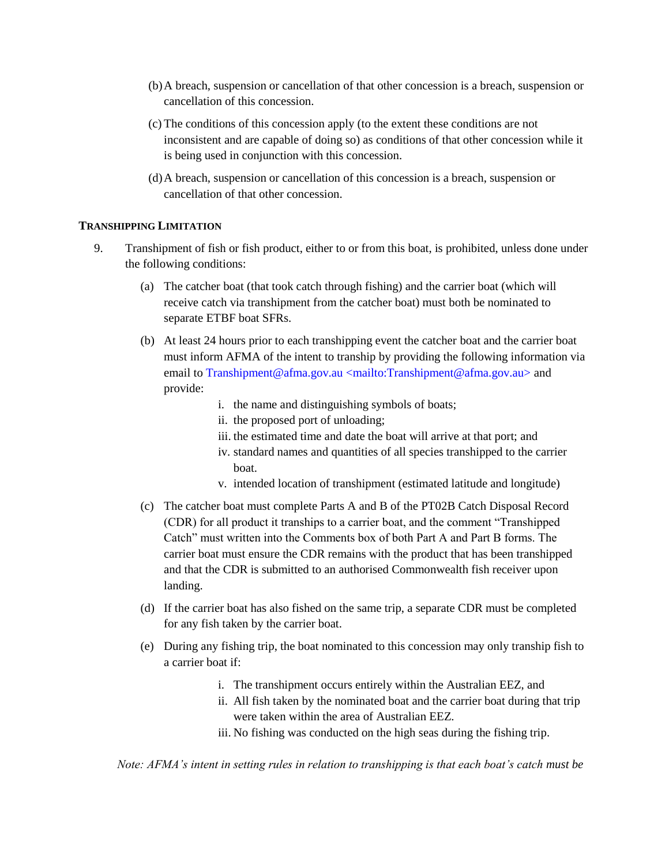- (b)A breach, suspension or cancellation of that other concession is a breach, suspension or cancellation of this concession.
- (c) The conditions of this concession apply (to the extent these conditions are not inconsistent and are capable of doing so) as conditions of that other concession while it is being used in conjunction with this concession.
- (d)A breach, suspension or cancellation of this concession is a breach, suspension or cancellation of that other concession.

## **TRANSHIPPING LIMITATION**

- 9. Transhipment of fish or fish product, either to or from this boat, is prohibited, unless done under the following conditions:
	- (a) The catcher boat (that took catch through fishing) and the carrier boat (which will receive catch via transhipment from the catcher boat) must both be nominated to separate ETBF boat SFRs.
	- (b) At least 24 hours prior to each transhipping event the catcher boat and the carrier boat must inform AFMA of the intent to tranship by providing the following information via email to Transhipment@afma.gov.au <mailto:Transhipment@afma.gov.au> and provide:
		- i. the name and distinguishing symbols of boats;
		- ii. the proposed port of unloading;
		- iii. the estimated time and date the boat will arrive at that port; and
		- iv. standard names and quantities of all species transhipped to the carrier boat.
		- v. intended location of transhipment (estimated latitude and longitude)
	- (c) The catcher boat must complete Parts A and B of the PT02B Catch Disposal Record (CDR) for all product it tranships to a carrier boat, and the comment "Transhipped Catch" must written into the Comments box of both Part A and Part B forms. The carrier boat must ensure the CDR remains with the product that has been transhipped and that the CDR is submitted to an authorised Commonwealth fish receiver upon landing.
	- (d) If the carrier boat has also fished on the same trip, a separate CDR must be completed for any fish taken by the carrier boat.
	- (e) During any fishing trip, the boat nominated to this concession may only tranship fish to a carrier boat if:
		- i. The transhipment occurs entirely within the Australian EEZ, and
		- ii. All fish taken by the nominated boat and the carrier boat during that trip were taken within the area of Australian EEZ.
		- iii. No fishing was conducted on the high seas during the fishing trip.

*Note: AFMA's intent in setting rules in relation to transhipping is that each boat's catch must be*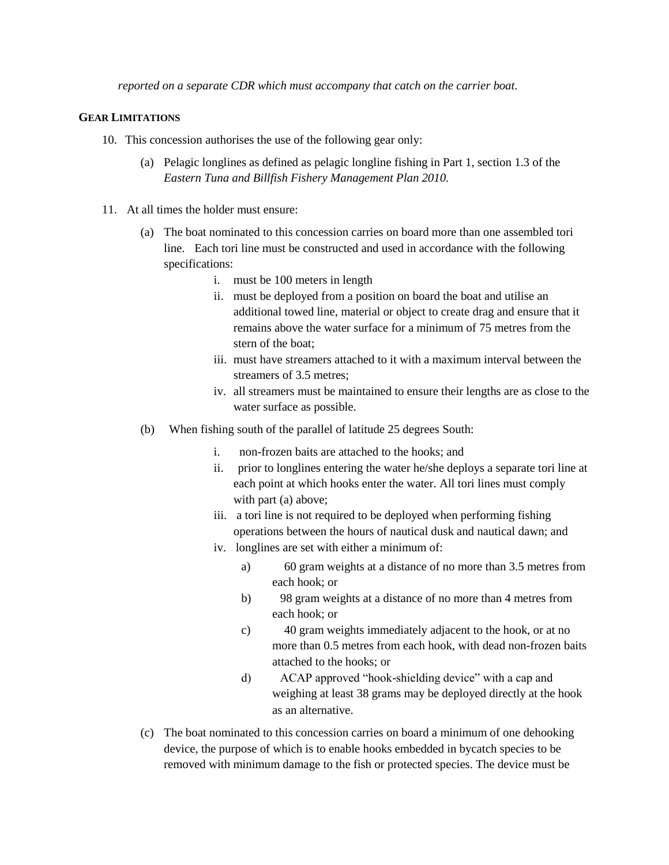*reported on a separate CDR which must accompany that catch on the carrier boat.*

#### **GEAR LIMITATIONS**

- 10. This concession authorises the use of the following gear only:
	- (a) Pelagic longlines as defined as pelagic longline fishing in Part 1, section 1.3 of the *Eastern Tuna and Billfish Fishery Management Plan 2010.*
- 11. At all times the holder must ensure:
	- (a) The boat nominated to this concession carries on board more than one assembled tori line. Each tori line must be constructed and used in accordance with the following specifications:
		- i. must be 100 meters in length
		- ii. must be deployed from a position on board the boat and utilise an additional towed line, material or object to create drag and ensure that it remains above the water surface for a minimum of 75 metres from the stern of the boat;
		- iii. must have streamers attached to it with a maximum interval between the streamers of 3.5 metres;
		- iv. all streamers must be maintained to ensure their lengths are as close to the water surface as possible.
	- (b) When fishing south of the parallel of latitude 25 degrees South:
		- i. non-frozen baits are attached to the hooks; and
		- ii. prior to longlines entering the water he/she deploys a separate tori line at each point at which hooks enter the water. All tori lines must comply with part (a) above;
		- iii. a tori line is not required to be deployed when performing fishing operations between the hours of nautical dusk and nautical dawn; and
		- iv. longlines are set with either a minimum of:
			- a) 60 gram weights at a distance of no more than 3.5 metres from each hook; or
			- b) 98 gram weights at a distance of no more than 4 metres from each hook; or
			- c) 40 gram weights immediately adjacent to the hook, or at no more than 0.5 metres from each hook, with dead non-frozen baits attached to the hooks; or
			- d) ACAP approved "hook-shielding device" with a cap and weighing at least 38 grams may be deployed directly at the hook as an alternative.
	- (c) The boat nominated to this concession carries on board a minimum of one dehooking device, the purpose of which is to enable hooks embedded in bycatch species to be removed with minimum damage to the fish or protected species. The device must be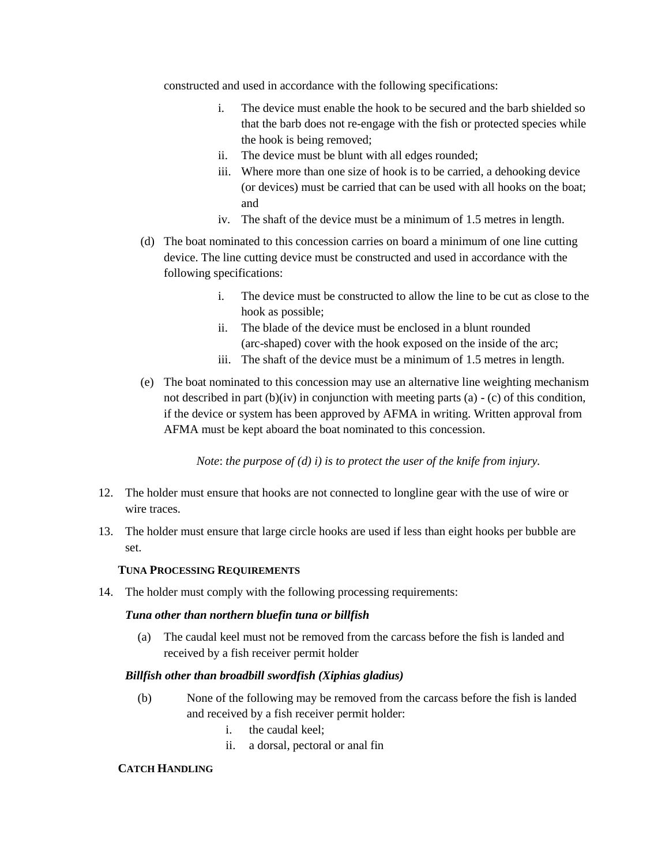constructed and used in accordance with the following specifications:

- i. The device must enable the hook to be secured and the barb shielded so that the barb does not re-engage with the fish or protected species while the hook is being removed;
- ii. The device must be blunt with all edges rounded;
- iii. Where more than one size of hook is to be carried, a dehooking device (or devices) must be carried that can be used with all hooks on the boat; and
- iv. The shaft of the device must be a minimum of 1.5 metres in length.
- (d) The boat nominated to this concession carries on board a minimum of one line cutting device. The line cutting device must be constructed and used in accordance with the following specifications:
	- i. The device must be constructed to allow the line to be cut as close to the hook as possible;
	- ii. The blade of the device must be enclosed in a blunt rounded (arc-shaped) cover with the hook exposed on the inside of the arc;
	- iii. The shaft of the device must be a minimum of 1.5 metres in length.
- (e) The boat nominated to this concession may use an alternative line weighting mechanism not described in part  $(b)(iv)$  in conjunction with meeting parts (a)  $-$  (c) of this condition, if the device or system has been approved by AFMA in writing. Written approval from AFMA must be kept aboard the boat nominated to this concession.

*Note*: *the purpose of (d) i) is to protect the user of the knife from injury.*

- 12. The holder must ensure that hooks are not connected to longline gear with the use of wire or wire traces.
- 13. The holder must ensure that large circle hooks are used if less than eight hooks per bubble are set.

## **TUNA PROCESSING REQUIREMENTS**

14. The holder must comply with the following processing requirements:

# *Tuna other than northern bluefin tuna or billfish*

(a) The caudal keel must not be removed from the carcass before the fish is landed and received by a fish receiver permit holder

# *Billfish other than broadbill swordfish (Xiphias gladius)*

- (b) None of the following may be removed from the carcass before the fish is landed and received by a fish receiver permit holder:
	- i. the caudal keel;
	- ii. a dorsal, pectoral or anal fin

# **CATCH HANDLING**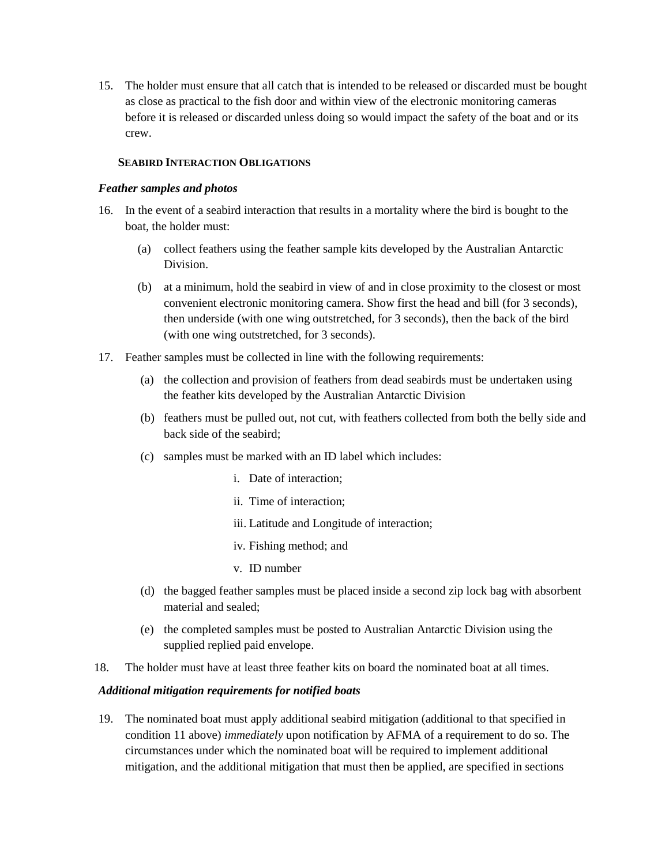15. The holder must ensure that all catch that is intended to be released or discarded must be bought as close as practical to the fish door and within view of the electronic monitoring cameras before it is released or discarded unless doing so would impact the safety of the boat and or its crew.

## **SEABIRD INTERACTION OBLIGATIONS**

## *Feather samples and photos*

- 16. In the event of a seabird interaction that results in a mortality where the bird is bought to the boat, the holder must:
	- (a) collect feathers using the feather sample kits developed by the Australian Antarctic Division.
	- (b) at a minimum, hold the seabird in view of and in close proximity to the closest or most convenient electronic monitoring camera. Show first the head and bill (for 3 seconds), then underside (with one wing outstretched, for 3 seconds), then the back of the bird (with one wing outstretched, for 3 seconds).
- 17. Feather samples must be collected in line with the following requirements:
	- (a) the collection and provision of feathers from dead seabirds must be undertaken using the feather kits developed by the Australian Antarctic Division
	- (b) feathers must be pulled out, not cut, with feathers collected from both the belly side and back side of the seabird;
	- (c) samples must be marked with an ID label which includes:
		- i. Date of interaction;
		- ii. Time of interaction;
		- iii. Latitude and Longitude of interaction;
		- iv. Fishing method; and
		- v. ID number
	- (d) the bagged feather samples must be placed inside a second zip lock bag with absorbent material and sealed;
	- (e) the completed samples must be posted to Australian Antarctic Division using the supplied replied paid envelope.
- 18. The holder must have at least three feather kits on board the nominated boat at all times.

# *Additional mitigation requirements for notified boats*

19. The nominated boat must apply additional seabird mitigation (additional to that specified in condition 11 above) *immediately* upon notification by AFMA of a requirement to do so. The circumstances under which the nominated boat will be required to implement additional mitigation, and the additional mitigation that must then be applied, are specified in sections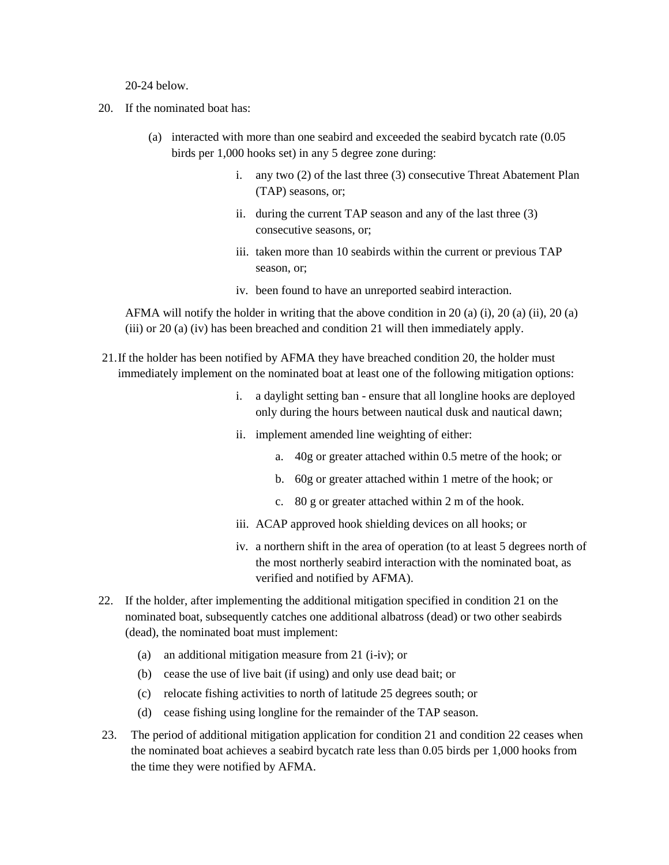20-24 below.

- 20. If the nominated boat has:
	- (a) interacted with more than one seabird and exceeded the seabird bycatch rate (0.05 birds per 1,000 hooks set) in any 5 degree zone during:
		- i. any two (2) of the last three (3) consecutive Threat Abatement Plan (TAP) seasons, or;
		- ii. during the current TAP season and any of the last three (3) consecutive seasons, or;
		- iii. taken more than 10 seabirds within the current or previous TAP season, or;
		- iv. been found to have an unreported seabird interaction.

AFMA will notify the holder in writing that the above condition in 20 (a) (i), 20 (a) (ii), 20 (a) (iii) or 20 (a) (iv) has been breached and condition 21 will then immediately apply.

- 21.If the holder has been notified by AFMA they have breached condition 20, the holder must immediately implement on the nominated boat at least one of the following mitigation options:
	- i. a daylight setting ban ensure that all longline hooks are deployed only during the hours between nautical dusk and nautical dawn;
	- ii. implement amended line weighting of either:
		- a. 40g or greater attached within 0.5 metre of the hook; or
		- b. 60g or greater attached within 1 metre of the hook; or
		- c. 80 g or greater attached within 2 m of the hook.
	- iii. ACAP approved hook shielding devices on all hooks; or
	- iv. a northern shift in the area of operation (to at least 5 degrees north of the most northerly seabird interaction with the nominated boat, as verified and notified by AFMA).
- 22. If the holder, after implementing the additional mitigation specified in condition 21 on the nominated boat, subsequently catches one additional albatross (dead) or two other seabirds (dead), the nominated boat must implement:
	- (a) an additional mitigation measure from 21 (i-iv); or
	- (b) cease the use of live bait (if using) and only use dead bait; or
	- (c) relocate fishing activities to north of latitude 25 degrees south; or
	- (d) cease fishing using longline for the remainder of the TAP season.
- 23. The period of additional mitigation application for condition 21 and condition 22 ceases when the nominated boat achieves a seabird bycatch rate less than 0.05 birds per 1,000 hooks from the time they were notified by AFMA.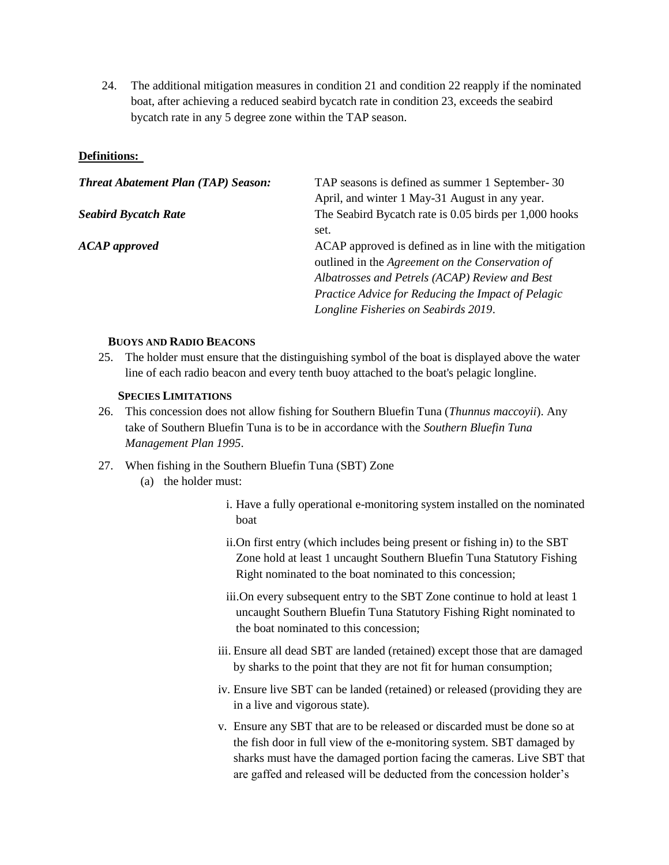24. The additional mitigation measures in condition 21 and condition 22 reapply if the nominated boat, after achieving a reduced seabird bycatch rate in condition 23, exceeds the seabird bycatch rate in any 5 degree zone within the TAP season.

## **Definitions:**

| <b>Threat Abatement Plan (TAP) Season:</b> | TAP seasons is defined as summer 1 September-30         |
|--------------------------------------------|---------------------------------------------------------|
|                                            | April, and winter 1 May-31 August in any year.          |
| <b>Seabird Bycatch Rate</b>                | The Seabird Bycatch rate is 0.05 birds per 1,000 hooks  |
|                                            | set.                                                    |
| <b>ACAP</b> approved                       | ACAP approved is defined as in line with the mitigation |
|                                            | outlined in the Agreement on the Conservation of        |
|                                            | Albatrosses and Petrels (ACAP) Review and Best          |
|                                            | Practice Advice for Reducing the Impact of Pelagic      |
|                                            | Longline Fisheries on Seabirds 2019.                    |

## **BUOYS AND RADIO BEACONS**

25. The holder must ensure that the distinguishing symbol of the boat is displayed above the water line of each radio beacon and every tenth buoy attached to the boat's pelagic longline.

## **SPECIES LIMITATIONS**

- 26. This concession does not allow fishing for Southern Bluefin Tuna (*Thunnus maccoyii*). Any take of Southern Bluefin Tuna is to be in accordance with the *Southern Bluefin Tuna Management Plan 1995*.
- 27. When fishing in the Southern Bluefin Tuna (SBT) Zone
	- (a) the holder must:
		- i. Have a fully operational e-monitoring system installed on the nominated boat
		- ii.On first entry (which includes being present or fishing in) to the SBT Zone hold at least 1 uncaught Southern Bluefin Tuna Statutory Fishing Right nominated to the boat nominated to this concession;
		- iii.On every subsequent entry to the SBT Zone continue to hold at least 1 uncaught Southern Bluefin Tuna Statutory Fishing Right nominated to the boat nominated to this concession;
		- iii. Ensure all dead SBT are landed (retained) except those that are damaged by sharks to the point that they are not fit for human consumption;
		- iv. Ensure live SBT can be landed (retained) or released (providing they are in a live and vigorous state).
		- v. Ensure any SBT that are to be released or discarded must be done so at the fish door in full view of the e-monitoring system. SBT damaged by sharks must have the damaged portion facing the cameras. Live SBT that are gaffed and released will be deducted from the concession holder's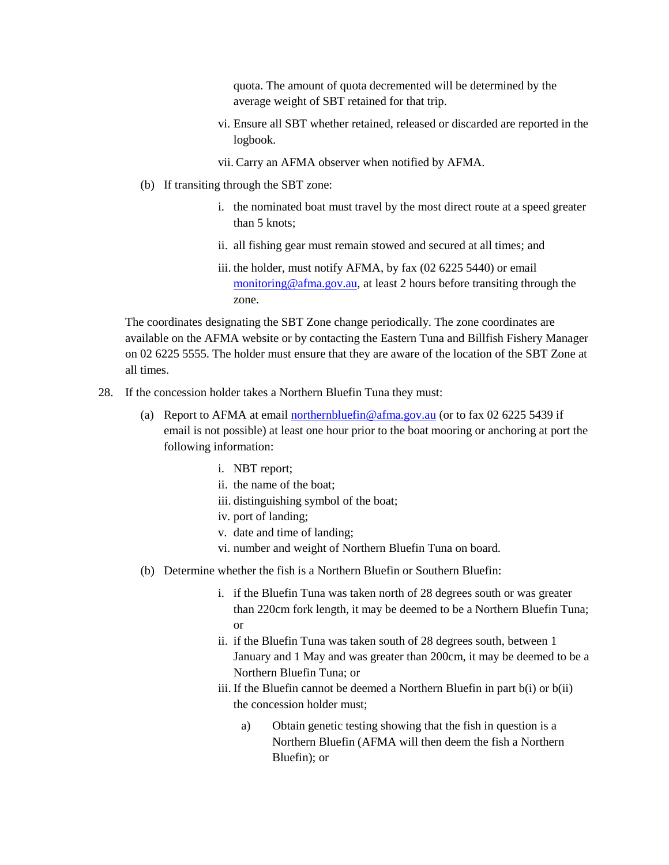quota. The amount of quota decremented will be determined by the average weight of SBT retained for that trip.

- vi. Ensure all SBT whether retained, released or discarded are reported in the logbook.
- vii. Carry an AFMA observer when notified by AFMA.
- (b) If transiting through the SBT zone:
	- i. the nominated boat must travel by the most direct route at a speed greater than 5 knots;
	- ii. all fishing gear must remain stowed and secured at all times; and
	- iii. the holder, must notify AFMA, by fax (02 6225 5440) or email monitoring@afma.gov.au, at least 2 hours before transiting through the zone.

The coordinates designating the SBT Zone change periodically. The zone coordinates are available on the AFMA website or by contacting the Eastern Tuna and Billfish Fishery Manager on 02 6225 5555. The holder must ensure that they are aware of the location of the SBT Zone at all times.

- 28. If the concession holder takes a Northern Bluefin Tuna they must:
	- (a) Report to AFMA at email northernbluefin@afma.gov.au (or to fax 02 6225 5439 if email is not possible) at least one hour prior to the boat mooring or anchoring at port the following information:
		- i. NBT report;
		- ii. the name of the boat;
		- iii. distinguishing symbol of the boat;
		- iv. port of landing;
		- v. date and time of landing;
		- vi. number and weight of Northern Bluefin Tuna on board.
	- (b) Determine whether the fish is a Northern Bluefin or Southern Bluefin:
		- i. if the Bluefin Tuna was taken north of 28 degrees south or was greater than 220cm fork length, it may be deemed to be a Northern Bluefin Tuna; or
		- ii. if the Bluefin Tuna was taken south of 28 degrees south, between 1 January and 1 May and was greater than 200cm, it may be deemed to be a Northern Bluefin Tuna; or
		- iii. If the Bluefin cannot be deemed a Northern Bluefin in part b(i) or b(ii) the concession holder must;
			- a) Obtain genetic testing showing that the fish in question is a Northern Bluefin (AFMA will then deem the fish a Northern Bluefin); or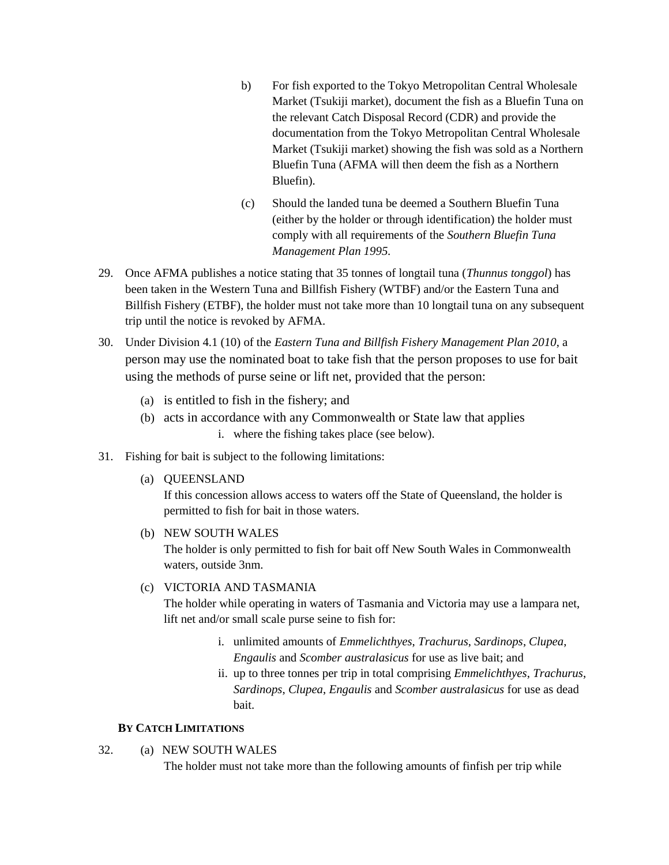- b) For fish exported to the Tokyo Metropolitan Central Wholesale Market (Tsukiji market), document the fish as a Bluefin Tuna on the relevant Catch Disposal Record (CDR) and provide the documentation from the Tokyo Metropolitan Central Wholesale Market (Tsukiji market) showing the fish was sold as a Northern Bluefin Tuna (AFMA will then deem the fish as a Northern Bluefin).
- (c) Should the landed tuna be deemed a Southern Bluefin Tuna (either by the holder or through identification) the holder must comply with all requirements of the *Southern Bluefin Tuna Management Plan 1995.*
- 29. Once AFMA publishes a notice stating that 35 tonnes of longtail tuna (*Thunnus tonggol*) has been taken in the Western Tuna and Billfish Fishery (WTBF) and/or the Eastern Tuna and Billfish Fishery (ETBF), the holder must not take more than 10 longtail tuna on any subsequent trip until the notice is revoked by AFMA.
- 30. Under Division 4.1 (10) of the *Eastern Tuna and Billfish Fishery Management Plan 2010*, a person may use the nominated boat to take fish that the person proposes to use for bait using the methods of purse seine or lift net, provided that the person:
	- (a) is entitled to fish in the fishery; and
	- (b) acts in accordance with any Commonwealth or State law that applies i. where the fishing takes place (see below).
- 31. Fishing for bait is subject to the following limitations:
	- (a) QUEENSLAND

If this concession allows access to waters off the State of Queensland, the holder is permitted to fish for bait in those waters.

(b) NEW SOUTH WALES

The holder is only permitted to fish for bait off New South Wales in Commonwealth waters, outside 3nm.

## (c) VICTORIA AND TASMANIA

The holder while operating in waters of Tasmania and Victoria may use a lampara net, lift net and/or small scale purse seine to fish for:

- i. unlimited amounts of *Emmelichthyes*, *Trachurus*, *Sardinops*, *Clupea*, *Engaulis* and *Scomber australasicus* for use as live bait; and
- ii. up to three tonnes per trip in total comprising *Emmelichthyes*, *Trachurus*, *Sardinops*, *Clupea*, *Engaulis* and *Scomber australasicus* for use as dead bait.

## **BY CATCH LIMITATIONS**

32. (a) NEW SOUTH WALES

The holder must not take more than the following amounts of finfish per trip while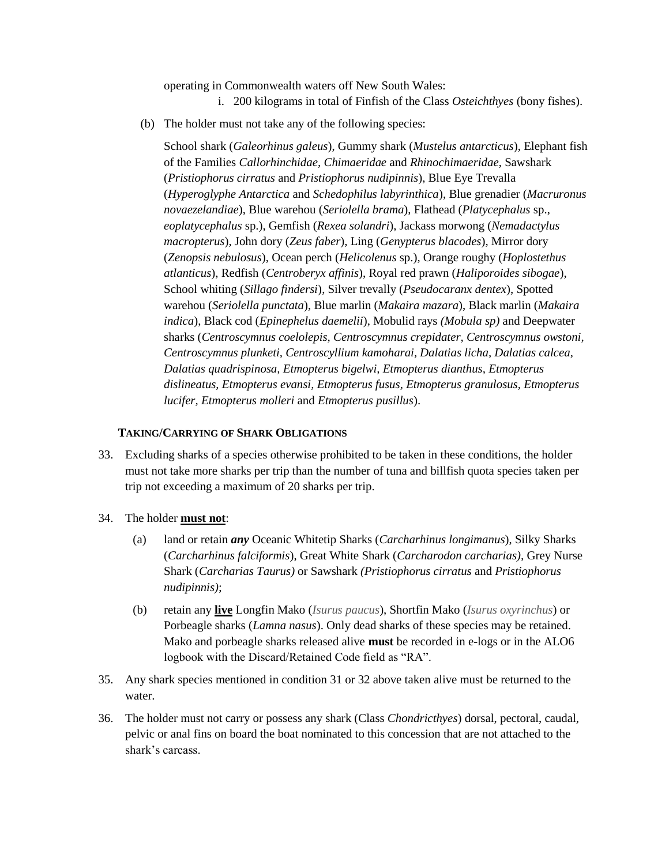operating in Commonwealth waters off New South Wales:

- i. 200 kilograms in total of Finfish of the Class *Osteichthyes* (bony fishes).
- (b) The holder must not take any of the following species:

School shark (*Galeorhinus galeus*), Gummy shark (*Mustelus antarcticus*), Elephant fish of the Families *Callorhinchidae, Chimaeridae* and *Rhinochimaeridae*, Sawshark (*Pristiophorus cirratus* and *Pristiophorus nudipinnis*), Blue Eye Trevalla (*Hyperoglyphe Antarctica* and *Schedophilus labyrinthica*), Blue grenadier (*Macruronus novaezelandiae*), Blue warehou (*Seriolella brama*), Flathead (*Platycephalus* sp., *eoplatycephalus* sp.), Gemfish (*Rexea solandri*), Jackass morwong (*Nemadactylus macropterus*), John dory (*Zeus faber*), Ling (*Genypterus blacodes*), Mirror dory (*Zenopsis nebulosus*), Ocean perch (*Helicolenus* sp.), Orange roughy (*Hoplostethus atlanticus*), Redfish (*Centroberyx affinis*), Royal red prawn (*Haliporoides sibogae*), School whiting (*Sillago findersi*), Silver trevally (*Pseudocaranx dentex*), Spotted warehou (*Seriolella punctata*), Blue marlin (*Makaira mazara*), Black marlin (*Makaira indica*), Black cod (*Epinephelus daemelii*), Mobulid rays *(Mobula sp)* and Deepwater sharks (*Centroscymnus coelolepis, Centroscymnus crepidater, Centroscymnus owstoni, Centroscymnus plunketi, Centroscyllium kamoharai, Dalatias licha, Dalatias calcea, Dalatias quadrispinosa, Etmopterus bigelwi, Etmopterus dianthus, Etmopterus dislineatus, Etmopterus evansi, Etmopterus fusus, Etmopterus granulosus, Etmopterus lucifer, Etmopterus molleri* and *Etmopterus pusillus*).

#### **TAKING/CARRYING OF SHARK OBLIGATIONS**

- 33. Excluding sharks of a species otherwise prohibited to be taken in these conditions, the holder must not take more sharks per trip than the number of tuna and billfish quota species taken per trip not exceeding a maximum of 20 sharks per trip.
- 34. The holder **must not**:
	- (a) land or retain *any* Oceanic Whitetip Sharks (*Carcharhinus longimanus*), Silky Sharks (*Carcharhinus falciformis*), Great White Shark (*Carcharodon carcharias),* Grey Nurse Shark (*Carcharias Taurus)* or Sawshark *(Pristiophorus cirratus* and *Pristiophorus nudipinnis)*;
	- (b) retain any **live** Longfin Mako (*Isurus paucus*), Shortfin Mako (*Isurus oxyrinchus*) or Porbeagle sharks (*Lamna nasus*). Only dead sharks of these species may be retained. Mako and porbeagle sharks released alive **must** be recorded in e-logs or in the ALO6 logbook with the Discard/Retained Code field as "RA".
- 35. Any shark species mentioned in condition 31 or 32 above taken alive must be returned to the water.
- 36. The holder must not carry or possess any shark (Class *Chondricthyes*) dorsal, pectoral, caudal, pelvic or anal fins on board the boat nominated to this concession that are not attached to the shark's carcass.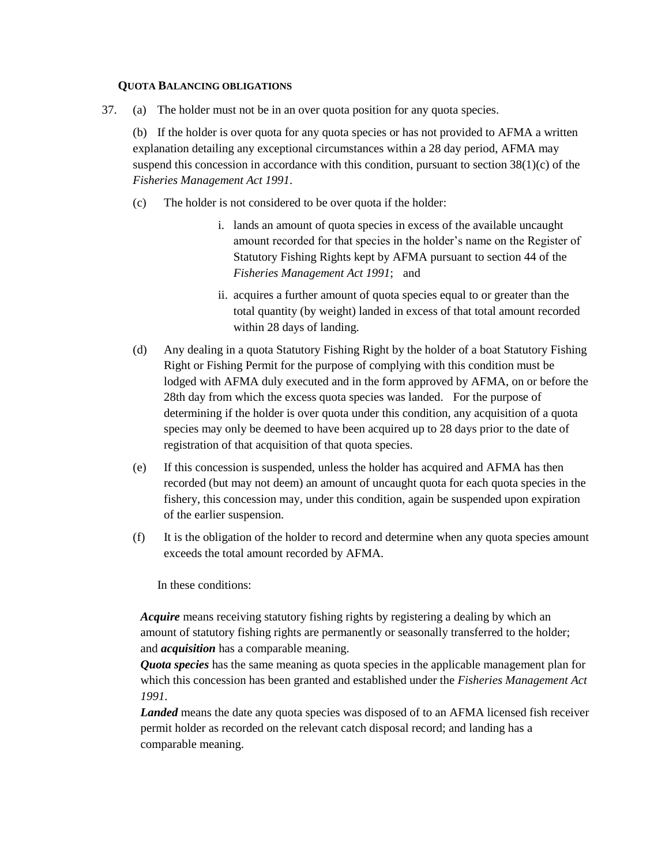#### **QUOTA BALANCING OBLIGATIONS**

37. (a) The holder must not be in an over quota position for any quota species.

(b) If the holder is over quota for any quota species or has not provided to AFMA a written explanation detailing any exceptional circumstances within a 28 day period, AFMA may suspend this concession in accordance with this condition, pursuant to section  $38(1)(c)$  of the *Fisheries Management Act 1991*.

- (c) The holder is not considered to be over quota if the holder:
	- i. lands an amount of quota species in excess of the available uncaught amount recorded for that species in the holder's name on the Register of Statutory Fishing Rights kept by AFMA pursuant to section 44 of the *Fisheries Management Act 1991*; and
	- ii. acquires a further amount of quota species equal to or greater than the total quantity (by weight) landed in excess of that total amount recorded within 28 days of landing.
- (d) Any dealing in a quota Statutory Fishing Right by the holder of a boat Statutory Fishing Right or Fishing Permit for the purpose of complying with this condition must be lodged with AFMA duly executed and in the form approved by AFMA, on or before the 28th day from which the excess quota species was landed. For the purpose of determining if the holder is over quota under this condition, any acquisition of a quota species may only be deemed to have been acquired up to 28 days prior to the date of registration of that acquisition of that quota species.
- (e) If this concession is suspended, unless the holder has acquired and AFMA has then recorded (but may not deem) an amount of uncaught quota for each quota species in the fishery, this concession may, under this condition, again be suspended upon expiration of the earlier suspension.
- (f) It is the obligation of the holder to record and determine when any quota species amount exceeds the total amount recorded by AFMA.

In these conditions:

*Acquire* means receiving statutory fishing rights by registering a dealing by which an amount of statutory fishing rights are permanently or seasonally transferred to the holder; and *acquisition* has a comparable meaning.

*Quota species* has the same meaning as quota species in the applicable management plan for which this concession has been granted and established under the *Fisheries Management Act 1991*.

*Landed* means the date any quota species was disposed of to an AFMA licensed fish receiver permit holder as recorded on the relevant catch disposal record; and landing has a comparable meaning.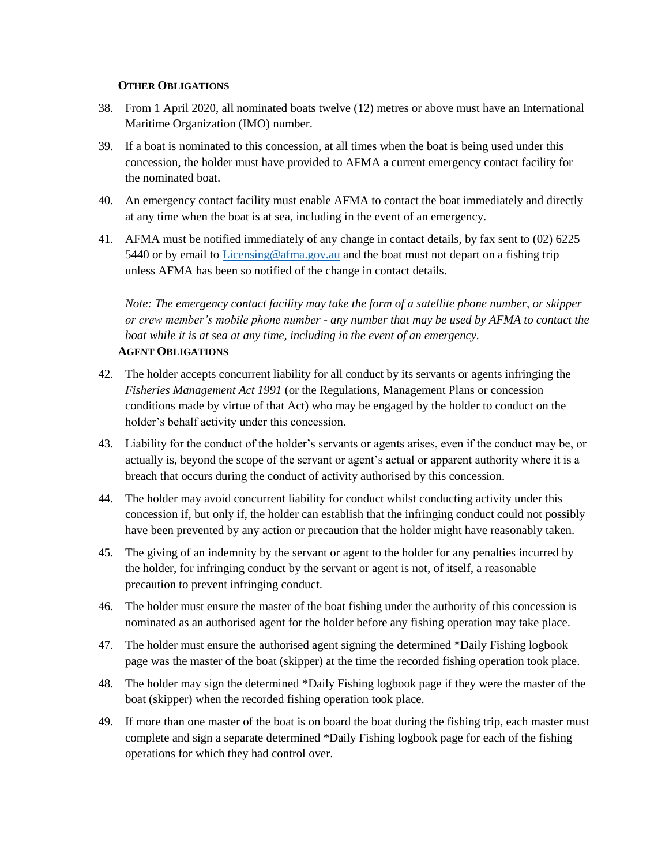#### **OTHER OBLIGATIONS**

- 38. From 1 April 2020, all nominated boats twelve (12) metres or above must have an International Maritime Organization (IMO) number.
- 39. If a boat is nominated to this concession, at all times when the boat is being used under this concession, the holder must have provided to AFMA a current emergency contact facility for the nominated boat.
- 40. An emergency contact facility must enable AFMA to contact the boat immediately and directly at any time when the boat is at sea, including in the event of an emergency.
- 41. AFMA must be notified immediately of any change in contact details, by fax sent to (02) 6225 5440 or by email to Licensing@afma.gov.au and the boat must not depart on a fishing trip unless AFMA has been so notified of the change in contact details.

*Note: The emergency contact facility may take the form of a satellite phone number, or skipper or crew member's mobile phone number - any number that may be used by AFMA to contact the boat while it is at sea at any time, including in the event of an emergency.*  **AGENT OBLIGATIONS**

- 42. The holder accepts concurrent liability for all conduct by its servants or agents infringing the *Fisheries Management Act 1991* (or the Regulations, Management Plans or concession conditions made by virtue of that Act) who may be engaged by the holder to conduct on the holder's behalf activity under this concession.
- 43. Liability for the conduct of the holder's servants or agents arises, even if the conduct may be, or actually is, beyond the scope of the servant or agent's actual or apparent authority where it is a breach that occurs during the conduct of activity authorised by this concession.
- 44. The holder may avoid concurrent liability for conduct whilst conducting activity under this concession if, but only if, the holder can establish that the infringing conduct could not possibly have been prevented by any action or precaution that the holder might have reasonably taken.
- 45. The giving of an indemnity by the servant or agent to the holder for any penalties incurred by the holder, for infringing conduct by the servant or agent is not, of itself, a reasonable precaution to prevent infringing conduct.
- 46. The holder must ensure the master of the boat fishing under the authority of this concession is nominated as an authorised agent for the holder before any fishing operation may take place.
- 47. The holder must ensure the authorised agent signing the determined \*Daily Fishing logbook page was the master of the boat (skipper) at the time the recorded fishing operation took place.
- 48. The holder may sign the determined \*Daily Fishing logbook page if they were the master of the boat (skipper) when the recorded fishing operation took place.
- 49. If more than one master of the boat is on board the boat during the fishing trip, each master must complete and sign a separate determined \*Daily Fishing logbook page for each of the fishing operations for which they had control over.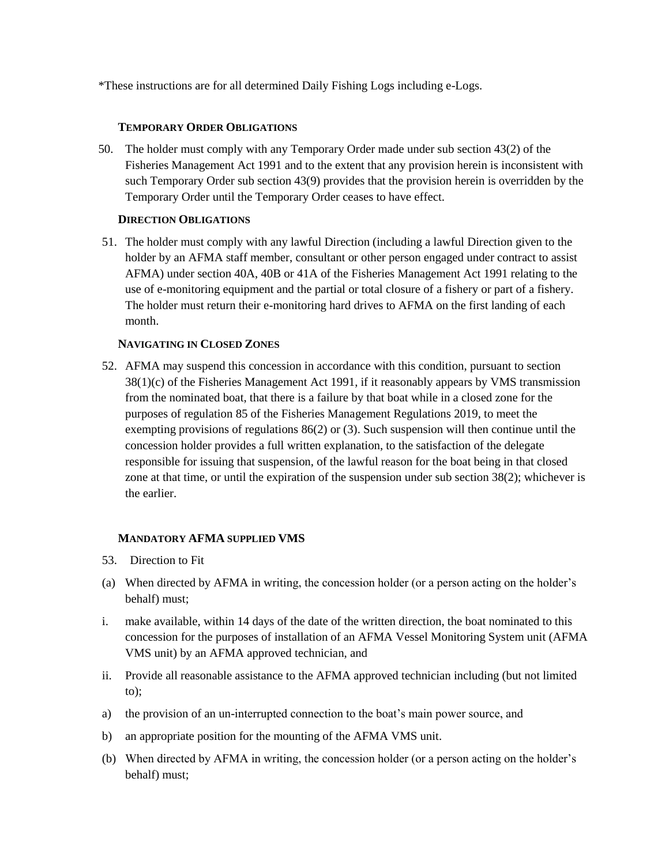\*These instructions are for all determined Daily Fishing Logs including e-Logs.

## **TEMPORARY ORDER OBLIGATIONS**

50. The holder must comply with any Temporary Order made under sub section 43(2) of the Fisheries Management Act 1991 and to the extent that any provision herein is inconsistent with such Temporary Order sub section 43(9) provides that the provision herein is overridden by the Temporary Order until the Temporary Order ceases to have effect.

# **DIRECTION OBLIGATIONS**

51. The holder must comply with any lawful Direction (including a lawful Direction given to the holder by an AFMA staff member, consultant or other person engaged under contract to assist AFMA) under section 40A, 40B or 41A of the Fisheries Management Act 1991 relating to the use of e-monitoring equipment and the partial or total closure of a fishery or part of a fishery. The holder must return their e-monitoring hard drives to AFMA on the first landing of each month.

# **NAVIGATING IN CLOSED ZONES**

52. AFMA may suspend this concession in accordance with this condition, pursuant to section 38(1)(c) of the Fisheries Management Act 1991, if it reasonably appears by VMS transmission from the nominated boat, that there is a failure by that boat while in a closed zone for the purposes of regulation 85 of the Fisheries Management Regulations 2019, to meet the exempting provisions of regulations  $86(2)$  or (3). Such suspension will then continue until the concession holder provides a full written explanation, to the satisfaction of the delegate responsible for issuing that suspension, of the lawful reason for the boat being in that closed zone at that time, or until the expiration of the suspension under sub section 38(2); whichever is the earlier.

# **MANDATORY AFMA SUPPLIED VMS**

- 53. Direction to Fit
- (a) When directed by AFMA in writing, the concession holder (or a person acting on the holder's behalf) must;
- i. make available, within 14 days of the date of the written direction, the boat nominated to this concession for the purposes of installation of an AFMA Vessel Monitoring System unit (AFMA VMS unit) by an AFMA approved technician, and
- ii. Provide all reasonable assistance to the AFMA approved technician including (but not limited to);
- a) the provision of an un-interrupted connection to the boat's main power source, and
- b) an appropriate position for the mounting of the AFMA VMS unit.
- (b) When directed by AFMA in writing, the concession holder (or a person acting on the holder's behalf) must;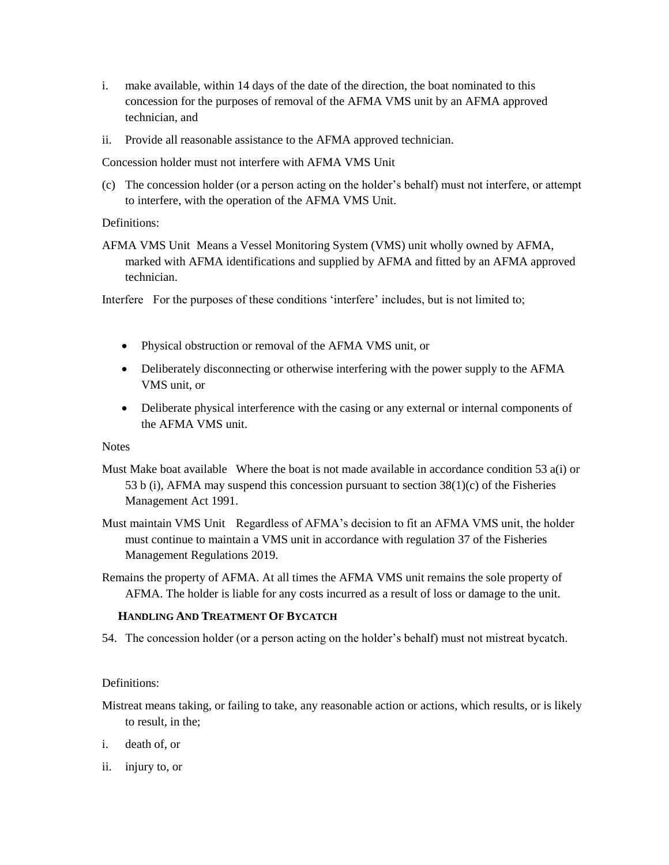- i. make available, within 14 days of the date of the direction, the boat nominated to this concession for the purposes of removal of the AFMA VMS unit by an AFMA approved technician, and
- ii. Provide all reasonable assistance to the AFMA approved technician.

Concession holder must not interfere with AFMA VMS Unit

(c) The concession holder (or a person acting on the holder's behalf) must not interfere, or attempt to interfere, with the operation of the AFMA VMS Unit.

## Definitions:

AFMA VMS Unit Means a Vessel Monitoring System (VMS) unit wholly owned by AFMA, marked with AFMA identifications and supplied by AFMA and fitted by an AFMA approved technician.

Interfere For the purposes of these conditions 'interfere' includes, but is not limited to;

- Physical obstruction or removal of the AFMA VMS unit, or
- Deliberately disconnecting or otherwise interfering with the power supply to the AFMA VMS unit, or
- Deliberate physical interference with the casing or any external or internal components of the AFMA VMS unit.

#### **Notes**

- Must Make boat available Where the boat is not made available in accordance condition 53 a(i) or 53 b (i), AFMA may suspend this concession pursuant to section  $38(1)(c)$  of the Fisheries Management Act 1991.
- Must maintain VMS Unit Regardless of AFMA's decision to fit an AFMA VMS unit, the holder must continue to maintain a VMS unit in accordance with regulation 37 of the Fisheries Management Regulations 2019.
- Remains the property of AFMA. At all times the AFMA VMS unit remains the sole property of AFMA. The holder is liable for any costs incurred as a result of loss or damage to the unit.

#### **HANDLING AND TREATMENT OF BYCATCH**

54. The concession holder (or a person acting on the holder's behalf) must not mistreat bycatch.

#### Definitions:

- Mistreat means taking, or failing to take, any reasonable action or actions, which results, or is likely to result, in the;
- i. death of, or
- ii. injury to, or